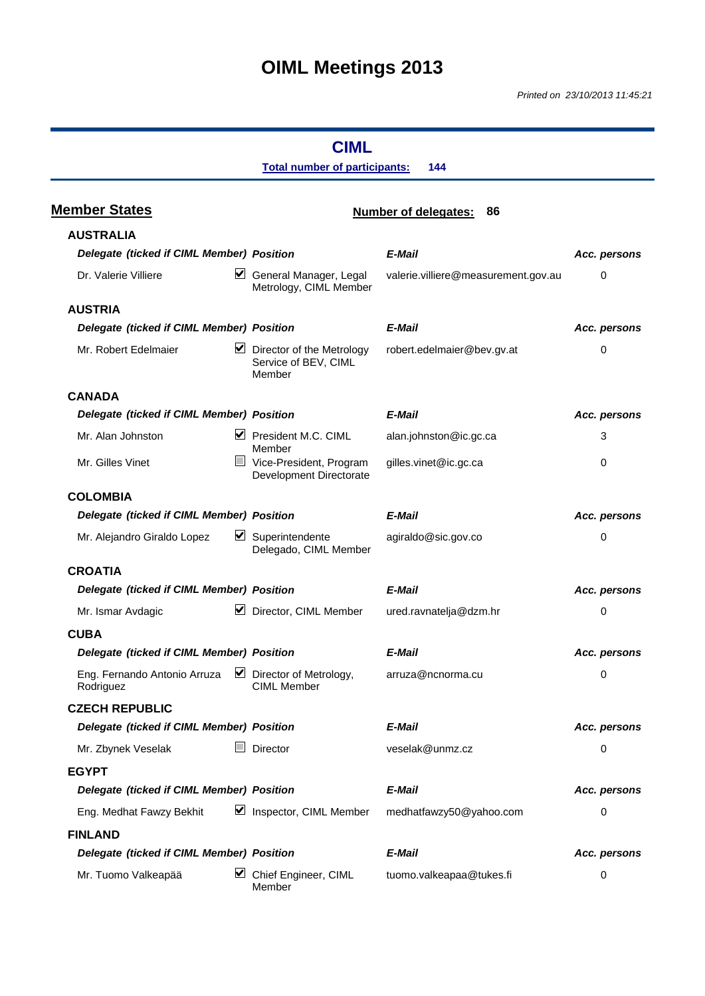# **OIML Meetings 2013**

### **CIML Total number of participants: 144 Member States Number of delegates: 86 AUSTRALIA** *Delegate (ticked if CIML Member) Position E-Mail Acc. persons* Dr. Valerie Villiere General Manager, Legal Metrology, CIML Member valerie.villiere@measurement.gov.au 0 **AUSTRIA** *Delegate (ticked if CIML Member) Position E-Mail Acc. persons* Mr. Robert Edelmaier  $\blacksquare$  Director of the Metrology Service of BEV, CIML Member robert.edelmaier@bev.gv.at 0 **CANADA** *Delegate (ticked if CIML Member) Position E-Mail Acc. persons* Mr. Alan Johnston **President M.C. CIML** Member alan.johnston@ic.gc.ca 3 Mr. Gilles Vinet **Vice-President, Program** Development Directorate gilles.vinet@ic.gc.ca 0 **COLOMBIA** *Delegate* (*ticked if CIML Member*) *Position* **E-Mail E-Mail E-Mail Acc. persons** Mr. Alejandro Giraldo Lopez <u>V</u> Superintendente Delegado, CIML Member agiraldo@sic.gov.co 0 **CROATIA** *Delegate (ticked if CIML Member) Position E-Mail Acc. persons* Mr. Ismar Avdagic **Director, CIML Member** ured.ravnatelja@dzm.hr 0 **CUBA** *Delegate* (*ticked if CIML Member*) *Position* **E-Mail E-Mail E-Mail Acc. persons** Eng. Fernando Antonio Arruza Rodriguez  $\triangleright$  Director of Metrology, CIML Member arruza@ncnorma.cu 0 **CZECH REPUBLIC** *Delegate (ticked if CIML Member) Position E-Mail Acc. persons* Mr. Zbynek Veselak **Director** Director veselak@unmz.cz 0 **EGYPT** *Delegate (ticked if CIML Member) Position E-Mail Acc. persons* Eng. Medhat Fawzy Bekhit <u>J</u> Inspector, CIML Member medhatfawzy50@yahoo.com 0 **FINLAND** *Delegate (ticked if CIML Member) Position E-Mail Acc. persons* Mr. Tuomo Valkeapää V Chief Engineer, CIML Member tuomo.valkeapaa@tukes.fi 0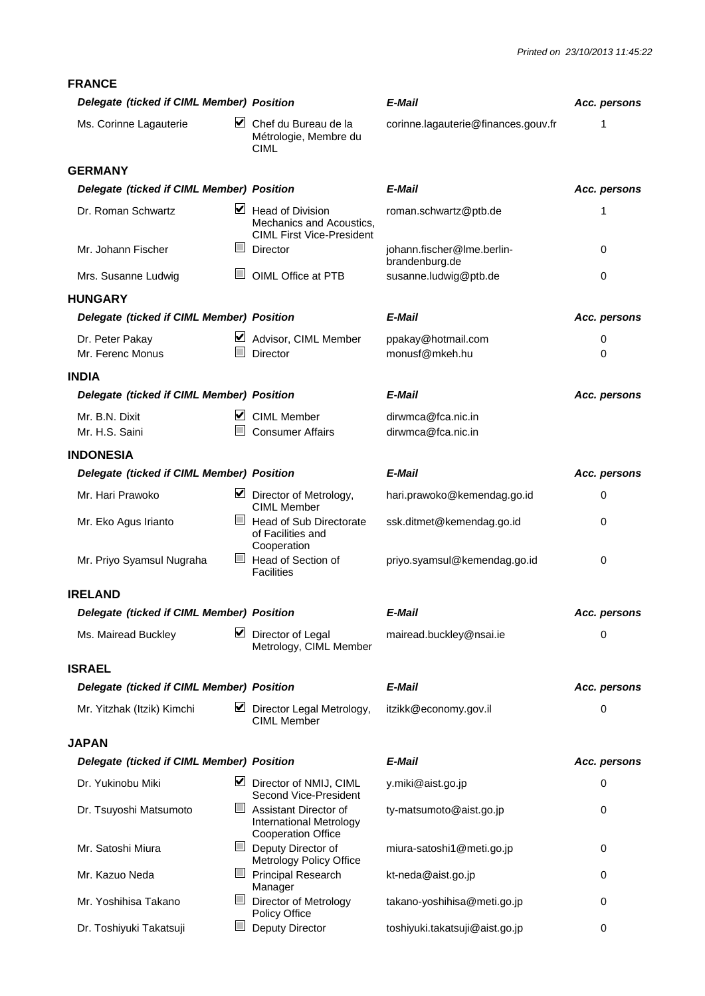**FRANCE** *Delegate (ticked if CIML Member) Position E-Mail Acc. persons* Ms. Corinne Lagauterie <del>V</del> Chef du Bureau de la Métrologie, Membre du CIML corinne.lagauterie@finances.gouv.fr 1 **GERMANY** *Delegate (ticked if CIML Member) Position E-Mail Acc. persons* Dr. Roman Schwartz  $\blacksquare$  Head of Division Mechanics and Acoustics, CIML First Vice-President roman.schwartz@ptb.de 1 Mr. Johann Fischer **Director** Director iohann.fischer@lme.berlinbrandenburg.de  $\overline{0}$ Mrs. Susanne Ludwig **DIML** OIML Office at PTB susanne.ludwig@ptb.de 0 **HUNGARY** *Delegate (ticked if CIML Member) Position E-Mail Acc. persons* Dr. Peter Pakay **Advisor, CIML Member** ppakay@hotmail.com **0** Mr. Ferenc Monus **Director Director** monusf@mkeh.hu 0 **INDIA** *Delegate (ticked if CIML Member) Position E-Mail Acc. persons* Mr. B.N. Dixit CIML Member dirwmca@fca.nic.in Mr. H.S. Saini **Consumer Affairs** dirwmca@fca.nic.in **INDONESIA** *Delegate (ticked if CIML Member) Position E-Mail Acc. persons* Mr. Hari Prawoko  $\blacksquare$  Director of Metrology, CIML Member hari.prawoko@kemendag.go.id 0 Mr. Eko Agus Irianto  $\Box$  Head of Sub Directorate of Facilities and Cooperation ssk.ditmet@kemendag.go.id 0 Mr. Priyo Syamsul Nugraha Head of Section of **Facilities** priyo.syamsul@kemendag.go.id 0 **IRELAND** *Delegate (ticked if CIML Member) Position E-Mail Acc. persons* Ms. Mairead Buckley **Museum Museum** Director of Legal Metrology, CIML Member mairead.buckley@nsai.ie 0 **ISRAEL** *Delegate (ticked if CIML Member) Position E-Mail Acc. persons* Mr. Yitzhak (Itzik) Kimchi <u>V</u> Director Legal Metrology, CIML Member itzikk@economy.gov.il 0 **JAPAN** *Delegate (ticked if CIML Member) Position E-Mail Acc. persons* Dr. Yukinobu Miki <br>
■ Director of NMIJ, CIML Second Vice-President y.miki@aist.go.jp 0 Dr. Tsuyoshi Matsumoto **Assistant Director of** International Metrology Cooperation Office ty-matsumoto@aist.go.jp 0 Mr. Satoshi Miura Deputy Director of Metrology Policy Office miura-satoshi1@meti.go.jp 0 Mr. Kazuo Neda **Principal Research** Manager kt-neda@aist.go.jp 0 Mr. Yoshihisa Takano Director of Metrology Policy Office takano-yoshihisa@meti.go.jp 0 Dr. Toshiyuki Takatsuji Deputy Director toshiyuki.takatsuji@aist.go.jp 0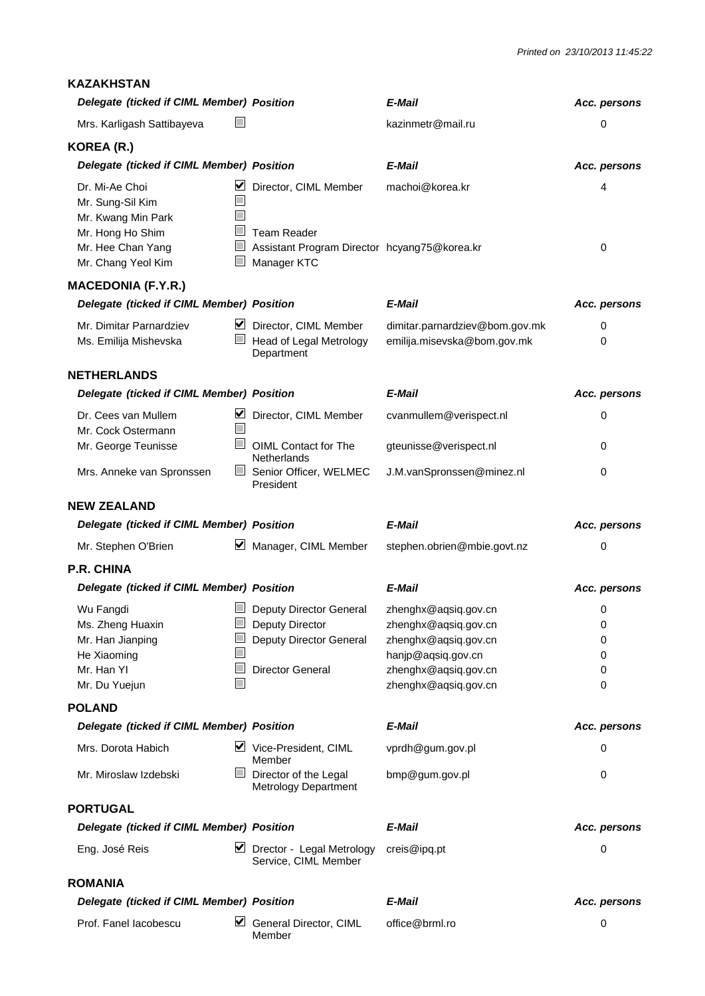#### **KAZAKHSTAN**

| Delegate (ticked if CIML Member) Position                                                                               |                                                                                                                                                        | E-Mail                                                                                                                                     | Acc. persons               |
|-------------------------------------------------------------------------------------------------------------------------|--------------------------------------------------------------------------------------------------------------------------------------------------------|--------------------------------------------------------------------------------------------------------------------------------------------|----------------------------|
| Mrs. Karligash Sattibayeva                                                                                              |                                                                                                                                                        | kazinmetr@mail.ru                                                                                                                          | 0                          |
| KOREA (R.)                                                                                                              |                                                                                                                                                        |                                                                                                                                            |                            |
| Delegate (ticked if CIML Member) Position                                                                               |                                                                                                                                                        | E-Mail                                                                                                                                     | Acc. persons               |
| Dr. Mi-Ae Choi<br>Mr. Sung-Sil Kim<br>Mr. Kwang Min Park<br>Mr. Hong Ho Shim<br>Mr. Hee Chan Yang<br>Mr. Chang Yeol Kim | Director, CIML Member<br>T.<br><b>Team Reader</b><br>$\overline{\phantom{0}}$<br>Assistant Program Director hcyang75@korea.kr<br>$\Box$<br>Manager KTC | machoi@korea.kr                                                                                                                            | 4<br>$\mathbf 0$           |
| <b>MACEDONIA (F.Y.R.)</b>                                                                                               |                                                                                                                                                        |                                                                                                                                            |                            |
| Delegate (ticked if CIML Member) Position                                                                               |                                                                                                                                                        | E-Mail                                                                                                                                     | Acc. persons               |
| Mr. Dimitar Parnardziev<br>Ms. Emilija Mishevska                                                                        | Director, CIML Member<br>$\Box$<br><b>Head of Legal Metrology</b><br>Department                                                                        | dimitar.parnardziev@bom.gov.mk<br>emilija.misevska@bom.gov.mk                                                                              | 0<br>0                     |
| <b>NETHERLANDS</b>                                                                                                      |                                                                                                                                                        |                                                                                                                                            |                            |
| Delegate (ticked if CIML Member) Position                                                                               |                                                                                                                                                        | E-Mail                                                                                                                                     | Acc. persons               |
| Dr. Cees van Mullem<br>Mr. Cock Ostermann                                                                               | $\triangleright$ Director, CIML Member                                                                                                                 | cvanmullem@verispect.nl                                                                                                                    | 0                          |
| Mr. George Teunisse                                                                                                     | $\mathbb{R}^n$<br>OIML Contact for The<br>Netherlands                                                                                                  | gteunisse@verispect.nl                                                                                                                     | 0                          |
| Mrs. Anneke van Spronssen                                                                                               | $\mathbf{L}$<br>Senior Officer, WELMEC<br>President                                                                                                    | J.M.vanSpronssen@minez.nl                                                                                                                  | 0                          |
| <b>NEW ZEALAND</b>                                                                                                      |                                                                                                                                                        |                                                                                                                                            |                            |
|                                                                                                                         |                                                                                                                                                        |                                                                                                                                            |                            |
| Delegate (ticked if CIML Member) Position                                                                               |                                                                                                                                                        | E-Mail                                                                                                                                     | Acc. persons               |
| Mr. Stephen O'Brien                                                                                                     | $\vee$ Manager, CIML Member                                                                                                                            | stephen.obrien@mbie.govt.nz                                                                                                                | 0                          |
| <b>P.R. CHINA</b>                                                                                                       |                                                                                                                                                        |                                                                                                                                            |                            |
| Delegate (ticked if CIML Member) Position                                                                               |                                                                                                                                                        | E-Mail                                                                                                                                     | Acc. persons               |
| Wu Fangdi<br>Ms. Zheng Huaxin<br>Mr. Han Jianping<br>He Xiaoming<br>Mr. Han YI<br>Mr. Du Yuejun                         | Deputy Director General<br>Deputy Director<br>$\mathbb{R}^n$<br>Deputy Director General<br><b>Director General</b><br>$\mathbb{R}^n$                   | zhenghx@aqsiq.gov.cn<br>zhenghx@aqsiq.gov.cn<br>zhenghx@aqsiq.gov.cn<br>hanjp@aqsiq.gov.cn<br>zhenghx@aqsiq.gov.cn<br>zhenghx@aqsiq.gov.cn | 0<br>0<br>0<br>0<br>0<br>0 |
| <b>POLAND</b>                                                                                                           |                                                                                                                                                        |                                                                                                                                            |                            |
| Delegate (ticked if CIML Member) Position                                                                               |                                                                                                                                                        | E-Mail                                                                                                                                     | Acc. persons               |
| Mrs. Dorota Habich                                                                                                      | V Vice-President, CIML<br>Member                                                                                                                       | vprdh@gum.gov.pl                                                                                                                           | 0                          |
| Mr. Miroslaw Izdebski                                                                                                   | $\overline{\phantom{0}}$<br>Director of the Legal<br><b>Metrology Department</b>                                                                       | bmp@gum.gov.pl                                                                                                                             | 0                          |
| <b>PORTUGAL</b>                                                                                                         |                                                                                                                                                        |                                                                                                                                            |                            |
| Delegate (ticked if CIML Member) Position                                                                               |                                                                                                                                                        | E-Mail                                                                                                                                     | Acc. persons               |
| Eng. José Reis                                                                                                          | Drector - Legal Metrology<br>Service, CIML Member                                                                                                      | creis@ipq.pt                                                                                                                               | 0                          |
| <b>ROMANIA</b>                                                                                                          |                                                                                                                                                        |                                                                                                                                            |                            |
| Delegate (ticked if CIML Member) Position                                                                               |                                                                                                                                                        | E-Mail                                                                                                                                     | Acc. persons               |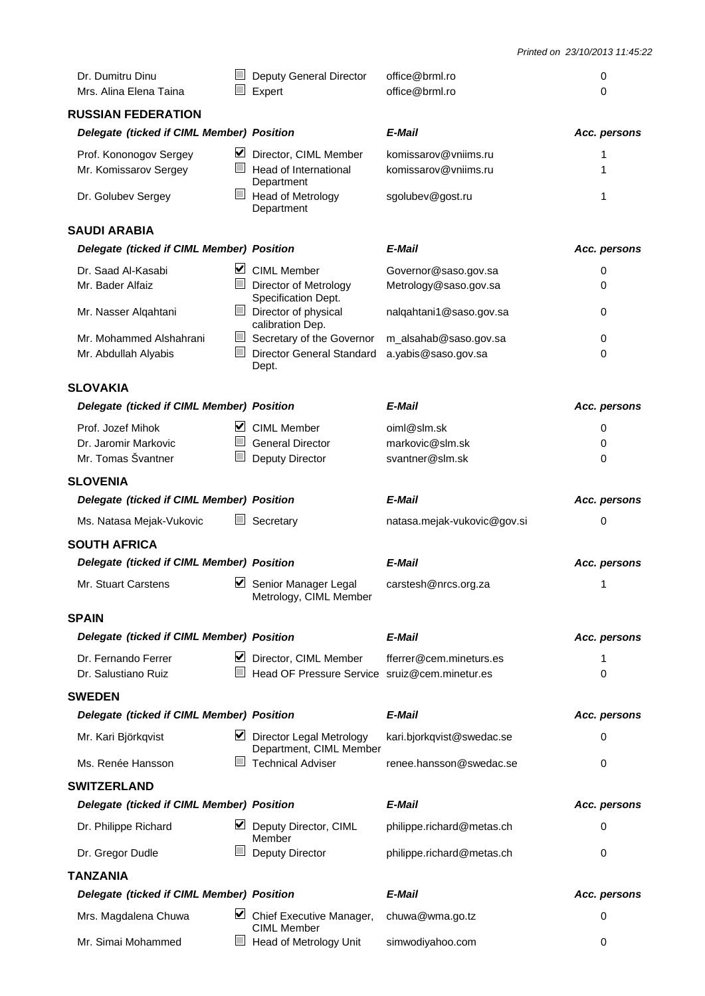| Dr. Dumitru Dinu                          |                          | Deputy General Director                             | office@brml.ro              | 0            |
|-------------------------------------------|--------------------------|-----------------------------------------------------|-----------------------------|--------------|
| Mrs. Alina Elena Taina                    |                          | Expert                                              | office@brml.ro              | $\Omega$     |
| <b>RUSSIAN FEDERATION</b>                 |                          |                                                     |                             |              |
| Delegate (ticked if CIML Member) Position |                          |                                                     | E-Mail                      | Acc. persons |
| Prof. Kononogov Sergey                    | ⊻                        | Director, CIML Member                               | komissarov@vniims.ru        | 1            |
| Mr. Komissarov Sergey                     |                          | Head of International<br>Department                 | komissarov@vniims.ru        | 1            |
| Dr. Golubev Sergey                        | $\overline{\phantom{0}}$ | <b>Head of Metrology</b><br>Department              | sgolubev@gost.ru            | 1            |
| <b>SAUDI ARABIA</b>                       |                          |                                                     |                             |              |
| Delegate (ticked if CIML Member) Position |                          |                                                     | E-Mail                      | Acc. persons |
| Dr. Saad Al-Kasabi                        | ⊻                        | <b>CIML Member</b>                                  | Governor@saso.gov.sa        | 0            |
| Mr. Bader Alfaiz                          | $\mathbb{R}^n$           | Director of Metrology<br>Specification Dept.        | Metrology@saso.gov.sa       | 0            |
| Mr. Nasser Alqahtani                      |                          | Director of physical<br>calibration Dep.            | nalqahtani1@saso.gov.sa     | 0            |
| Mr. Mohammed Alshahrani                   | $\Box$                   | Secretary of the Governor                           | m_alsahab@saso.gov.sa       | 0            |
| Mr. Abdullah Alyabis                      |                          | Director General Standard<br>Dept.                  | a.yabis@saso.gov.sa         | 0            |
| <b>SLOVAKIA</b>                           |                          |                                                     |                             |              |
| Delegate (ticked if CIML Member) Position |                          |                                                     | E-Mail                      | Acc. persons |
| Prof. Jozef Mihok                         | M                        | <b>CIML Member</b>                                  | oiml@slm.sk                 | 0            |
| Dr. Jaromir Markovic                      |                          | <b>General Director</b>                             | markovic@slm.sk             | 0            |
| Mr. Tomas Švantner                        |                          | Deputy Director                                     | svantner@slm.sk             | 0            |
| <b>SLOVENIA</b>                           |                          |                                                     |                             |              |
| Delegate (ticked if CIML Member) Position |                          |                                                     | E-Mail                      | Acc. persons |
| Ms. Natasa Mejak-Vukovic                  |                          | Secretary                                           | natasa.mejak-vukovic@gov.si | 0            |
| <b>SOUTH AFRICA</b>                       |                          |                                                     |                             |              |
| Delegate (ticked if CIML Member) Position |                          |                                                     | E-Mail                      | Acc. persons |
| Mr. Stuart Carstens                       | M                        | Senior Manager Legal<br>Metrology, CIML Member      | carstesh@nrcs.org.za        | 1            |
| <b>SPAIN</b>                              |                          |                                                     |                             |              |
| Delegate (ticked if CIML Member) Position |                          |                                                     | E-Mail                      | Acc. persons |
| Dr. Fernando Ferrer                       | ⊻                        | Director, CIML Member                               | fferrer@cem.mineturs.es     | 1            |
| Dr. Salustiano Ruiz                       |                          | Head OF Pressure Service sruiz@cem.minetur.es       |                             | $\Omega$     |
| <b>SWEDEN</b>                             |                          |                                                     |                             |              |
| Delegate (ticked if CIML Member) Position |                          |                                                     | E-Mail                      | Acc. persons |
| Mr. Kari Björkqvist                       |                          | Director Legal Metrology<br>Department, CIML Member | kari.bjorkqvist@swedac.se   | 0            |
| Ms. Renée Hansson                         |                          | <b>Technical Adviser</b>                            | renee.hansson@swedac.se     | 0            |
| <b>SWITZERLAND</b>                        |                          |                                                     |                             |              |
| Delegate (ticked if CIML Member) Position |                          |                                                     | E-Mail                      | Acc. persons |
| Dr. Philippe Richard                      |                          | Deputy Director, CIML<br>Member                     | philippe.richard@metas.ch   | 0            |
| Dr. Gregor Dudle                          |                          | Deputy Director                                     | philippe.richard@metas.ch   | 0            |
| <b>TANZANIA</b>                           |                          |                                                     |                             |              |
| Delegate (ticked if CIML Member) Position |                          |                                                     | E-Mail                      | Acc. persons |
| Mrs. Magdalena Chuwa                      | M                        | Chief Executive Manager,<br><b>CIML Member</b>      | chuwa@wma.go.tz             | 0            |
| Mr. Simai Mohammed                        |                          | Head of Metrology Unit                              | simwodiyahoo.com            | 0            |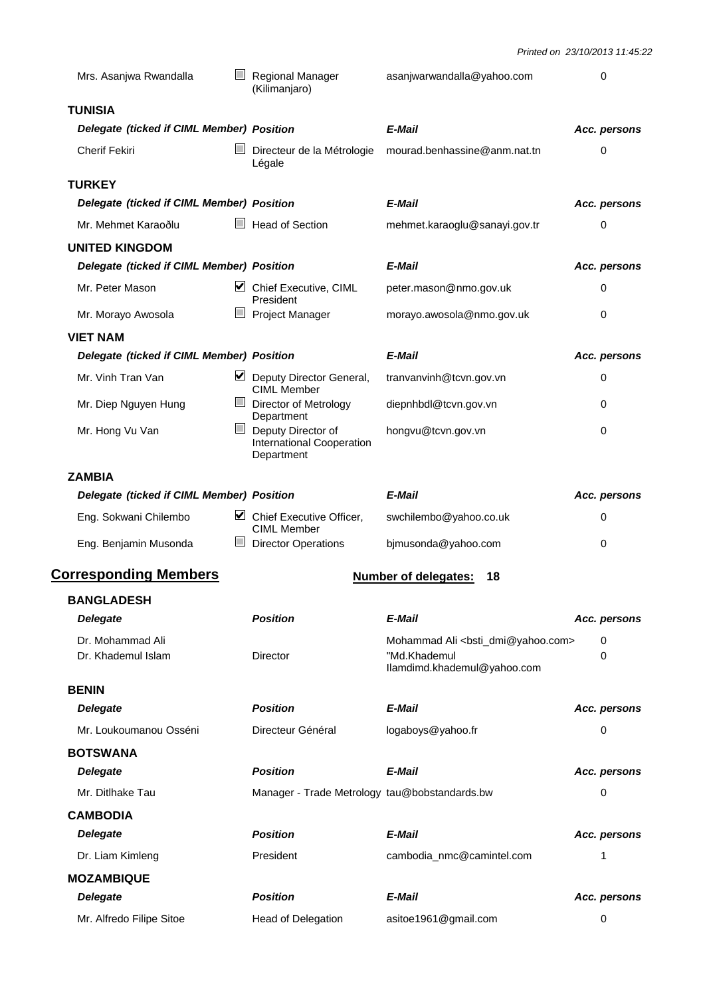| Mrs. Asanjwa Rwandalla                    |        | Regional Manager<br>(Kilimanjaro)                               | asanjwarwandalla@yahoo.com                                                                              | 0            |
|-------------------------------------------|--------|-----------------------------------------------------------------|---------------------------------------------------------------------------------------------------------|--------------|
| <b>TUNISIA</b>                            |        |                                                                 |                                                                                                         |              |
| Delegate (ticked if CIML Member) Position |        |                                                                 | E-Mail                                                                                                  | Acc. persons |
| <b>Cherif Fekiri</b>                      |        | Directeur de la Métrologie<br>Légale                            | mourad.benhassine@anm.nat.tn                                                                            | 0            |
| <b>TURKEY</b>                             |        |                                                                 |                                                                                                         |              |
| Delegate (ticked if CIML Member) Position |        |                                                                 | E-Mail                                                                                                  | Acc. persons |
| Mr. Mehmet Karaoðlu                       |        | <b>Head of Section</b>                                          | mehmet.karaoglu@sanayi.gov.tr                                                                           | 0            |
| <b>UNITED KINGDOM</b>                     |        |                                                                 |                                                                                                         |              |
| Delegate (ticked if CIML Member) Position |        |                                                                 | E-Mail                                                                                                  | Acc. persons |
| Mr. Peter Mason                           |        | Chief Executive, CIML<br>President                              | peter.mason@nmo.gov.uk                                                                                  | 0            |
| Mr. Morayo Awosola                        | ப      | <b>Project Manager</b>                                          | morayo.awosola@nmo.gov.uk                                                                               | 0            |
| <b>VIET NAM</b>                           |        |                                                                 |                                                                                                         |              |
| Delegate (ticked if CIML Member) Position |        |                                                                 | E-Mail                                                                                                  | Acc. persons |
| Mr. Vinh Tran Van                         |        | Deputy Director General,<br><b>CIML Member</b>                  | tranvanvinh@tcvn.gov.vn                                                                                 | 0            |
| Mr. Diep Nguyen Hung                      |        | Director of Metrology<br>Department                             | diepnhbdl@tcvn.gov.vn                                                                                   | 0            |
| Mr. Hong Vu Van                           | Ш      | Deputy Director of<br>International Cooperation<br>Department   | hongvu@tcvn.gov.vn                                                                                      | 0            |
| <b>ZAMBIA</b>                             |        |                                                                 |                                                                                                         |              |
| Delegate (ticked if CIML Member) Position |        |                                                                 | E-Mail                                                                                                  | Acc. persons |
| Eng. Sokwani Chilembo                     |        | $\triangleright$ Chief Executive Officer,<br><b>CIML Member</b> | swchilembo@yahoo.co.uk                                                                                  | 0            |
| Eng. Benjamin Musonda                     | $\Box$ | <b>Director Operations</b>                                      | bjmusonda@yahoo.com                                                                                     | 0            |
| <b>Corresponding Members</b>              |        |                                                                 | <b>Number of delegates:</b><br>18                                                                       |              |
| <b>BANGLADESH</b>                         |        |                                                                 |                                                                                                         |              |
| <b>Delegate</b>                           |        | <b>Position</b>                                                 | E-Mail                                                                                                  | Acc. persons |
| Dr. Mohammad Ali<br>Dr. Khademul Islam    |        | <b>Director</b>                                                 | Mohammad Ali <bsti_dmi@yahoo.com><br/>"Md.Khademul<br/>llamdimd.khademul@yahoo.com</bsti_dmi@yahoo.com> | 0<br>0       |
| <b>BENIN</b>                              |        |                                                                 |                                                                                                         |              |
| <b>Delegate</b>                           |        | <b>Position</b>                                                 | E-Mail                                                                                                  | Acc. persons |
| Mr. Loukoumanou Osséni                    |        | Directeur Général                                               | logaboys@yahoo.fr                                                                                       | 0            |
| <b>BOTSWANA</b><br><b>Delegate</b>        |        | <b>Position</b>                                                 | E-Mail                                                                                                  | Acc. persons |
| Mr. Ditlhake Tau                          |        |                                                                 |                                                                                                         | 0            |
|                                           |        | Manager - Trade Metrology tau@bobstandards.bw                   |                                                                                                         |              |
| <b>CAMBODIA</b><br><b>Delegate</b>        |        | <b>Position</b>                                                 | E-Mail                                                                                                  |              |
|                                           |        | President                                                       |                                                                                                         | Acc. persons |
| Dr. Liam Kimleng                          |        |                                                                 | cambodia_nmc@camintel.com                                                                               | 1            |
| <b>MOZAMBIQUE</b>                         |        | <b>Position</b>                                                 | E-Mail                                                                                                  |              |
| <b>Delegate</b>                           |        |                                                                 |                                                                                                         | Acc. persons |
| Mr. Alfredo Filipe Sitoe                  |        | Head of Delegation                                              | asitoe1961@gmail.com                                                                                    | 0            |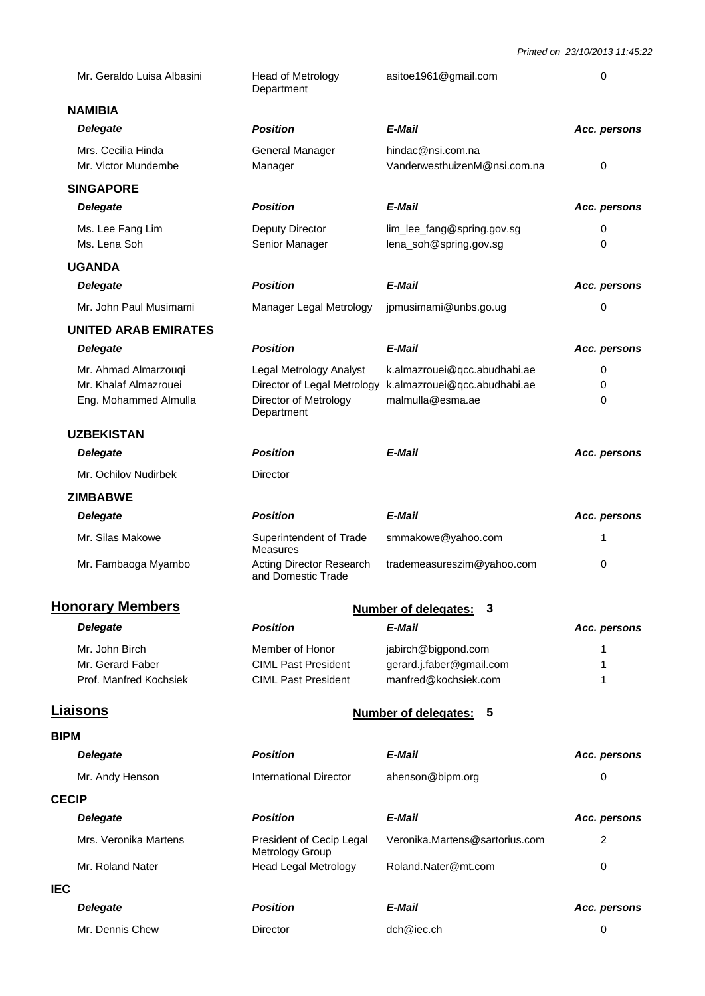|             | Mr. Geraldo Luisa Albasini                     | Head of Metrology<br>Department                                            | asitoe1961@gmail.com                                  | 0            |
|-------------|------------------------------------------------|----------------------------------------------------------------------------|-------------------------------------------------------|--------------|
|             | <b>NAMIBIA</b>                                 |                                                                            |                                                       |              |
|             | <b>Delegate</b>                                | <b>Position</b>                                                            | E-Mail                                                | Acc. persons |
|             | Mrs. Cecilia Hinda<br>Mr. Victor Mundembe      | General Manager<br>Manager                                                 | hindac@nsi.com.na<br>VanderwesthuizenM@nsi.com.na     | 0            |
|             | <b>SINGAPORE</b>                               |                                                                            |                                                       |              |
|             | <b>Delegate</b>                                | <b>Position</b>                                                            | E-Mail                                                | Acc. persons |
|             | Ms. Lee Fang Lim<br>Ms. Lena Soh               | Deputy Director<br>Senior Manager                                          | lim_lee_fang@spring.gov.sg<br>lena_soh@spring.gov.sg  | 0<br>0       |
|             | <b>UGANDA</b>                                  |                                                                            |                                                       |              |
|             | <b>Delegate</b>                                | <b>Position</b>                                                            | E-Mail                                                | Acc. persons |
|             | Mr. John Paul Musimami                         | Manager Legal Metrology                                                    | jpmusimami@unbs.go.ug                                 | 0            |
|             | <b>UNITED ARAB EMIRATES</b>                    |                                                                            |                                                       |              |
|             | <b>Delegate</b>                                | <b>Position</b>                                                            | E-Mail                                                | Acc. persons |
|             | Mr. Ahmad Almarzouqi                           | Legal Metrology Analyst                                                    | k.almazrouei@qcc.abudhabi.ae                          | 0            |
|             | Mr. Khalaf Almazrouei<br>Eng. Mohammed Almulla | Director of Legal Metrology<br>Director of Metrology<br>Department         | k.almazrouei@qcc.abudhabi.ae<br>malmulla@esma.ae      | 0<br>0       |
|             | <b>UZBEKISTAN</b>                              |                                                                            |                                                       |              |
|             | <b>Delegate</b>                                | <b>Position</b>                                                            | E-Mail                                                | Acc. persons |
|             | Mr. Ochilov Nudirbek                           | Director                                                                   |                                                       |              |
|             | <b>ZIMBABWE</b>                                |                                                                            |                                                       |              |
|             | <b>Delegate</b>                                | <b>Position</b>                                                            | E-Mail                                                | Acc. persons |
|             | Mr. Silas Makowe                               | Superintendent of Trade<br><b>Measures</b>                                 | smmakowe@yahoo.com                                    | 1            |
|             | Mr. Fambaoga Myambo                            | <b>Acting Director Research</b><br>and Domestic Trade                      | trademeasureszim@yahoo.com                            | 0            |
|             | <b>Honorary Members</b>                        |                                                                            | <b>Number of delegates:</b><br>3                      |              |
|             | <b>Delegate</b>                                | <b>Position</b>                                                            | E-Mail                                                | Acc. persons |
|             | Mr. John Birch                                 | Member of Honor                                                            | jabirch@bigpond.com                                   | 1            |
|             | Mr. Gerard Faber<br>Prof. Manfred Kochsiek     | <b>CIML Past President</b><br><b>CIML Past President</b>                   | gerard.j.faber@gmail.com<br>manfred@kochsiek.com      | 1<br>1       |
|             |                                                |                                                                            |                                                       |              |
|             | <b>Liaisons</b>                                |                                                                            | <b>Number of delegates:</b><br>5                      |              |
| <b>BIPM</b> |                                                |                                                                            |                                                       |              |
|             | <b>Delegate</b>                                | <b>Position</b>                                                            | E-Mail                                                | Acc. persons |
|             | Mr. Andy Henson                                | <b>International Director</b>                                              | ahenson@bipm.org                                      | 0            |
|             | <b>CECIP</b>                                   |                                                                            |                                                       |              |
|             | <b>Delegate</b>                                | <b>Position</b>                                                            | E-Mail                                                | Acc. persons |
|             | Mrs. Veronika Martens<br>Mr. Roland Nater      | President of Cecip Legal<br>Metrology Group<br><b>Head Legal Metrology</b> | Veronika.Martens@sartorius.com<br>Roland.Nater@mt.com | 2<br>0       |
| <b>IEC</b>  |                                                |                                                                            |                                                       |              |
|             | <b>Delegate</b>                                | <b>Position</b>                                                            | E-Mail                                                | Acc. persons |
|             | Mr. Dennis Chew                                | Director                                                                   | dch@iec.ch                                            | 0            |
|             |                                                |                                                                            |                                                       |              |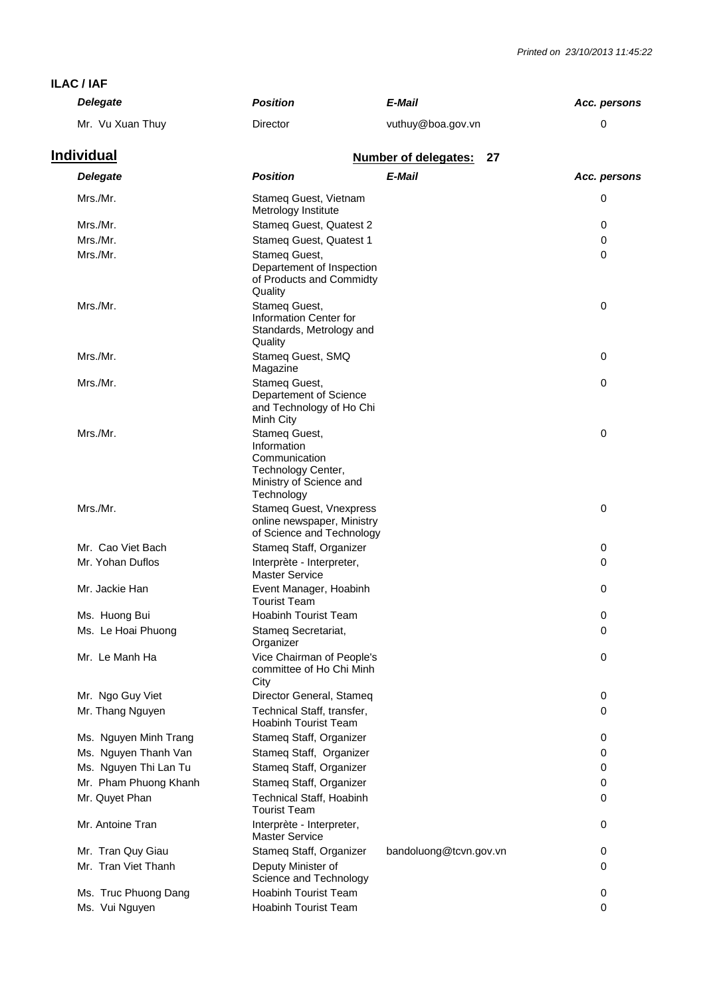#### **ILAC / IAF**

| <b>Delegate</b>       | <b>Position</b>                                                                                              | E-Mail                            | Acc. persons |
|-----------------------|--------------------------------------------------------------------------------------------------------------|-----------------------------------|--------------|
| Mr. Vu Xuan Thuy      | Director                                                                                                     | vuthuy@boa.gov.vn                 | 0            |
| <u>Individual</u>     |                                                                                                              | <b>Number of delegates:</b><br>27 |              |
| <b>Delegate</b>       | <b>Position</b>                                                                                              | E-Mail                            | Acc. persons |
| Mrs./Mr.              | Stameg Guest, Vietnam<br>Metrology Institute                                                                 |                                   | 0            |
| Mrs./Mr.              | Stameq Guest, Quatest 2                                                                                      |                                   | 0            |
| Mrs./Mr.              | Stameg Guest, Quatest 1                                                                                      |                                   | 0            |
| Mrs./Mr.              | Stameg Guest,<br>Departement of Inspection<br>of Products and Commidty<br>Quality                            |                                   | $\Omega$     |
| Mrs./Mr.              | Stameg Guest,<br>Information Center for<br>Standards, Metrology and<br>Quality                               |                                   | $\mathbf 0$  |
| Mrs./Mr.              | Stameq Guest, SMQ<br>Magazine                                                                                |                                   | 0            |
| Mrs./Mr.              | Stameg Guest,<br>Departement of Science<br>and Technology of Ho Chi<br>Minh City                             |                                   | $\mathbf 0$  |
| Mrs./Mr.              | Stameg Guest,<br>Information<br>Communication<br>Technology Center,<br>Ministry of Science and<br>Technology |                                   | 0            |
| Mrs./Mr.              | Stameq Guest, Vnexpress<br>online newspaper, Ministry<br>of Science and Technology                           |                                   | 0            |
| Mr. Cao Viet Bach     | Stameq Staff, Organizer                                                                                      |                                   | 0            |
| Mr. Yohan Duflos      | Interprète - Interpreter,<br><b>Master Service</b>                                                           |                                   | 0            |
| Mr. Jackie Han        | Event Manager, Hoabinh<br><b>Tourist Team</b>                                                                |                                   | 0            |
| Ms. Huong Bui         | <b>Hoabinh Tourist Team</b>                                                                                  |                                   | 0            |
| Ms. Le Hoai Phuong    | Stameq Secretariat,<br>Organizer                                                                             |                                   | 0            |
| Mr. Le Manh Ha        | Vice Chairman of People's<br>committee of Ho Chi Minh<br>City                                                |                                   | 0            |
| Mr. Ngo Guy Viet      | Director General, Stameq                                                                                     |                                   | 0            |
| Mr. Thang Nguyen      | Technical Staff, transfer,<br><b>Hoabinh Tourist Team</b>                                                    |                                   | 0            |
| Ms. Nguyen Minh Trang | Stameq Staff, Organizer                                                                                      |                                   | 0            |
| Ms. Nguyen Thanh Van  | Stameq Staff, Organizer                                                                                      |                                   | 0            |
| Ms. Nguyen Thi Lan Tu | Stameq Staff, Organizer                                                                                      |                                   | 0            |
| Mr. Pham Phuong Khanh | Stameq Staff, Organizer                                                                                      |                                   | 0            |
| Mr. Quyet Phan        | Technical Staff, Hoabinh<br><b>Tourist Team</b>                                                              |                                   | 0            |
| Mr. Antoine Tran      | Interprète - Interpreter,<br><b>Master Service</b>                                                           |                                   | 0            |
| Mr. Tran Quy Giau     | Stameq Staff, Organizer                                                                                      | bandoluong@tcvn.gov.vn            | 0            |
| Mr. Tran Viet Thanh   | Deputy Minister of<br>Science and Technology                                                                 |                                   | 0            |
| Ms. Truc Phuong Dang  | <b>Hoabinh Tourist Team</b>                                                                                  |                                   | 0            |
| Ms. Vui Nguyen        | Hoabinh Tourist Team                                                                                         |                                   | 0            |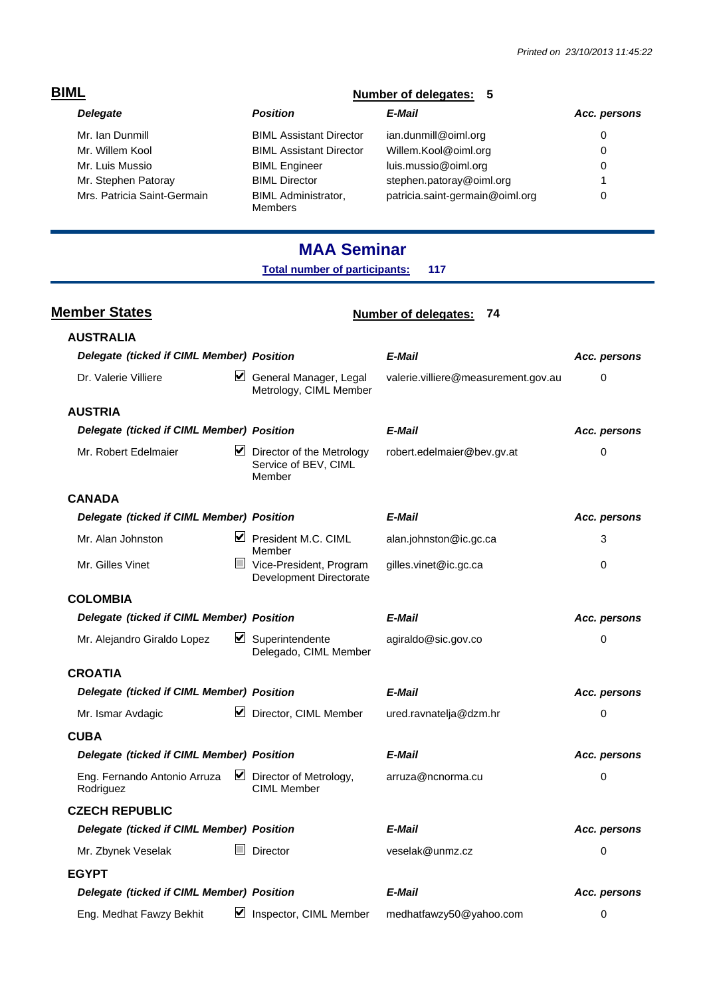| <b>BIML</b>                 | Number of delegates: 5                       |                                 |              |
|-----------------------------|----------------------------------------------|---------------------------------|--------------|
| <b>Delegate</b>             | <b>Position</b>                              | E-Mail                          | Acc. persons |
| Mr. Ian Dunmill             | <b>BIML Assistant Director</b>               | ian.dunmill@oiml.org            | 0            |
| Mr. Willem Kool             | <b>BIML Assistant Director</b>               | Willem.Kool@oiml.org            | 0            |
| Mr. Luis Mussio             | <b>BIML Engineer</b>                         | luis.mussio@oiml.org            | 0            |
| Mr. Stephen Patoray         | <b>BIML Director</b>                         | stephen.patoray@oiml.org        |              |
| Mrs. Patricia Saint-Germain | <b>BIML</b> Administrator,<br><b>Members</b> | patricia.saint-germain@oiml.org | 0            |

## **MAA Seminar**

**Total number of participants: 117**

**Member States Number of delegates:** 74

| <b>AUSTRALIA</b>                          |        |                                                                              |                                     |              |  |
|-------------------------------------------|--------|------------------------------------------------------------------------------|-------------------------------------|--------------|--|
| Delegate (ticked if CIML Member) Position |        |                                                                              | E-Mail                              | Acc. persons |  |
| Dr. Valerie Villiere                      | V      | General Manager, Legal<br>Metrology, CIML Member                             | valerie.villiere@measurement.gov.au | 0            |  |
| <b>AUSTRIA</b>                            |        |                                                                              |                                     |              |  |
| Delegate (ticked if CIML Member) Position |        |                                                                              | E-Mail                              | Acc. persons |  |
| Mr. Robert Edelmaier                      |        | $\triangleright$ Director of the Metrology<br>Service of BEV, CIML<br>Member | robert.edelmaier@bev.gv.at          | 0            |  |
| <b>CANADA</b>                             |        |                                                                              |                                     |              |  |
| Delegate (ticked if CIML Member) Position |        |                                                                              | E-Mail                              | Acc. persons |  |
| Mr. Alan Johnston                         |        | $\triangleright$ President M.C. CIML<br>Member                               | alan.johnston@ic.gc.ca              | 3            |  |
| Mr. Gilles Vinet                          | $\Box$ | Vice-President, Program<br>Development Directorate                           | gilles.vinet@ic.gc.ca               | $\Omega$     |  |
| <b>COLOMBIA</b>                           |        |                                                                              |                                     |              |  |
| Delegate (ticked if CIML Member) Position |        |                                                                              | E-Mail                              | Acc. persons |  |
| Mr. Alejandro Giraldo Lopez               |        | $\triangleright$ Superintendente<br>Delegado, CIML Member                    | agiraldo@sic.gov.co                 | 0            |  |
| <b>CROATIA</b>                            |        |                                                                              |                                     |              |  |
| Delegate (ticked if CIML Member) Position |        |                                                                              | E-Mail                              | Acc. persons |  |
| Mr. Ismar Avdagic                         |        | $\triangleright$ Director, CIML Member                                       | ured.ravnatelja@dzm.hr              | 0            |  |
| <b>CUBA</b>                               |        |                                                                              |                                     |              |  |
| Delegate (ticked if CIML Member) Position |        |                                                                              | E-Mail                              | Acc. persons |  |
| Eng. Fernando Antonio Arruza<br>Rodriguez |        | $\triangleright$ Director of Metrology,<br><b>CIML Member</b>                | arruza@ncnorma.cu                   | 0            |  |
| <b>CZECH REPUBLIC</b>                     |        |                                                                              |                                     |              |  |
| Delegate (ticked if CIML Member) Position |        |                                                                              | E-Mail                              | Acc. persons |  |
| Mr. Zbynek Veselak                        |        | <b>Director</b>                                                              | veselak@unmz.cz                     | 0            |  |
| <b>EGYPT</b>                              |        |                                                                              |                                     |              |  |
| Delegate (ticked if CIML Member) Position |        |                                                                              | E-Mail                              | Acc. persons |  |
| Eng. Medhat Fawzy Bekhit                  | ⊻      | Inspector, CIML Member                                                       | medhatfawzy50@yahoo.com             | 0            |  |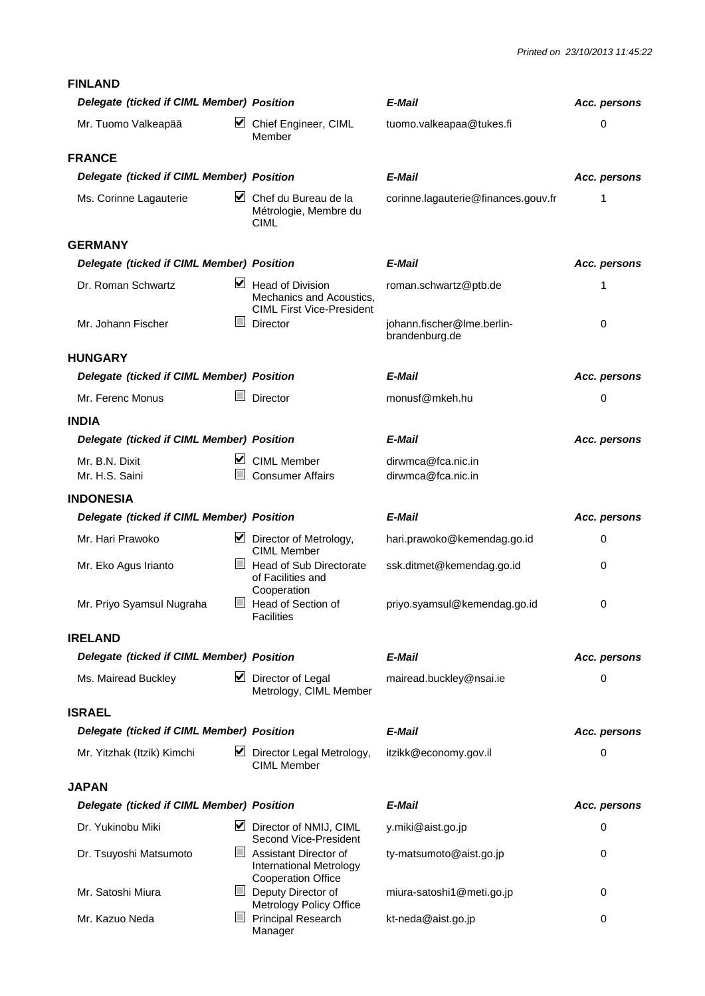#### **FINLAND**

| Delegate (ticked if CIML Member) Position          |                                                                                         | E-Mail                                       | Acc. persons |
|----------------------------------------------------|-----------------------------------------------------------------------------------------|----------------------------------------------|--------------|
| ⊻<br>Mr. Tuomo Valkeapää                           | Chief Engineer, CIML<br>Member                                                          | tuomo.valkeapaa@tukes.fi                     | 0            |
| <b>FRANCE</b>                                      |                                                                                         |                                              |              |
| Delegate (ticked if CIML Member) Position          |                                                                                         | E-Mail                                       | Acc. persons |
| Ms. Corinne Lagauterie                             | $\triangleright$ Chef du Bureau de la<br>Métrologie, Membre du<br>CIML                  | corinne.lagauterie@finances.gouv.fr          | 1            |
| <b>GERMANY</b>                                     |                                                                                         |                                              |              |
| Delegate (ticked if CIML Member) Position          |                                                                                         | E-Mail                                       | Acc. persons |
| Dr. Roman Schwartz<br>M                            | <b>Head of Division</b><br>Mechanics and Acoustics,<br><b>CIML First Vice-President</b> | roman.schwartz@ptb.de                        | 1            |
| <b>The State</b><br>Mr. Johann Fischer             | Director                                                                                | johann.fischer@lme.berlin-<br>brandenburg.de | $\mathbf 0$  |
| <b>HUNGARY</b>                                     |                                                                                         |                                              |              |
| Delegate (ticked if CIML Member) Position          |                                                                                         | E-Mail                                       | Acc. persons |
| Mr. Ferenc Monus                                   | Director                                                                                | monusf@mkeh.hu                               | 0            |
| <b>INDIA</b>                                       |                                                                                         |                                              |              |
| Delegate (ticked if CIML Member) Position          |                                                                                         | E-Mail                                       | Acc. persons |
| M<br>Mr. B.N. Dixit                                | <b>CIML Member</b>                                                                      | dirwmca@fca.nic.in                           |              |
| Mr. H.S. Saini                                     | <b>Consumer Affairs</b>                                                                 | dirwmca@fca.nic.in                           |              |
| <b>INDONESIA</b>                                   |                                                                                         |                                              |              |
| Delegate (ticked if CIML Member) Position          |                                                                                         | E-Mail                                       | Acc. persons |
| Mr. Hari Prawoko                                   | $\triangleright$ Director of Metrology,<br><b>CIML Member</b>                           | hari.prawoko@kemendag.go.id                  | 0            |
| Mr. Eko Agus Irianto                               | Head of Sub Directorate<br>of Facilities and<br>Cooperation                             | ssk.ditmet@kemendag.go.id                    | $\mathbf 0$  |
| Mr. Priyo Syamsul Nugraha                          | Head of Section of<br><b>Facilities</b>                                                 | priyo.syamsul@kemendag.go.id                 | 0            |
| <b>IRELAND</b>                                     |                                                                                         |                                              |              |
| Delegate (ticked if CIML Member) Position          |                                                                                         | E-Mail                                       | Acc. persons |
| ⊻<br>Ms. Mairead Buckley                           | Director of Legal<br>Metrology, CIML Member                                             | mairead.buckley@nsai.ie                      | 0            |
| <b>ISRAEL</b>                                      |                                                                                         |                                              |              |
| Delegate (ticked if CIML Member) Position          |                                                                                         | E-Mail                                       | Acc. persons |
| ⊻<br>Mr. Yitzhak (Itzik) Kimchi                    | Director Legal Metrology,<br><b>CIML Member</b>                                         | itzikk@economy.gov.il                        | 0            |
| <b>JAPAN</b>                                       |                                                                                         |                                              |              |
| Delegate (ticked if CIML Member) Position          |                                                                                         | E-Mail                                       | Acc. persons |
| M<br>Dr. Yukinobu Miki                             | Director of NMIJ, CIML<br>Second Vice-President                                         | y.miki@aist.go.jp                            | 0            |
| $\overline{\phantom{0}}$<br>Dr. Tsuyoshi Matsumoto | Assistant Director of<br>International Metrology<br><b>Cooperation Office</b>           | ty-matsumoto@aist.go.jp                      | 0            |
| Mr. Satoshi Miura                                  | Deputy Director of<br>Metrology Policy Office                                           | miura-satoshi1@meti.go.jp                    | 0            |
| $\overline{\phantom{0}}$<br>Mr. Kazuo Neda         | Principal Research<br>Manager                                                           | kt-neda@aist.go.jp                           | 0            |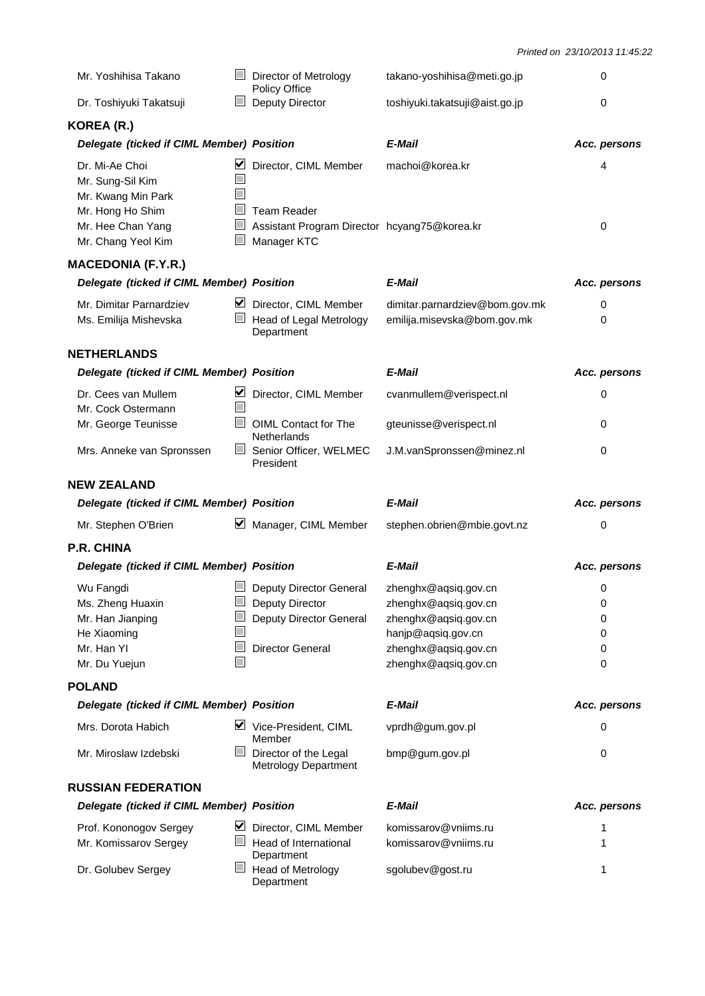| Mr. Yoshihisa Takano                                                                                                    |                          | Director of Metrology<br>Policy Office                                                                     | takano-yoshihisa@meti.go.jp                                                                                                                | 0                          |
|-------------------------------------------------------------------------------------------------------------------------|--------------------------|------------------------------------------------------------------------------------------------------------|--------------------------------------------------------------------------------------------------------------------------------------------|----------------------------|
| Dr. Toshiyuki Takatsuji                                                                                                 |                          | Deputy Director                                                                                            | toshiyuki.takatsuji@aist.go.jp                                                                                                             | 0                          |
| KOREA (R.)                                                                                                              |                          |                                                                                                            |                                                                                                                                            |                            |
| Delegate (ticked if CIML Member) Position                                                                               |                          |                                                                                                            | E-Mail                                                                                                                                     | Acc. persons               |
| Dr. Mi-Ae Choi<br>Mr. Sung-Sil Kim<br>Mr. Kwang Min Park<br>Mr. Hong Ho Shim<br>Mr. Hee Chan Yang<br>Mr. Chang Yeol Kim | ⊻                        | Director, CIML Member<br><b>Team Reader</b><br>Assistant Program Director hcyang75@korea.kr<br>Manager KTC | machoi@korea.kr                                                                                                                            | 4<br>0                     |
| <b>MACEDONIA (F.Y.R.)</b>                                                                                               |                          |                                                                                                            |                                                                                                                                            |                            |
| Delegate (ticked if CIML Member) Position                                                                               |                          |                                                                                                            | E-Mail                                                                                                                                     | Acc. persons               |
| Mr. Dimitar Parnardziev<br>Ms. Emilija Mishevska                                                                        | M                        | Director, CIML Member<br>Head of Legal Metrology<br>Department                                             | dimitar.parnardziev@bom.gov.mk<br>emilija.misevska@bom.gov.mk                                                                              | 0<br>0                     |
| <b>NETHERLANDS</b>                                                                                                      |                          |                                                                                                            |                                                                                                                                            |                            |
| Delegate (ticked if CIML Member) Position                                                                               |                          |                                                                                                            | E-Mail                                                                                                                                     | Acc. persons               |
| Dr. Cees van Mullem<br>Mr. Cock Ostermann                                                                               | M                        | Director, CIML Member                                                                                      | cvanmullem@verispect.nl                                                                                                                    | 0                          |
| Mr. George Teunisse                                                                                                     |                          | OIML Contact for The<br>Netherlands                                                                        | gteunisse@verispect.nl                                                                                                                     | 0                          |
| Mrs. Anneke van Spronssen                                                                                               | $\overline{\phantom{0}}$ | Senior Officer, WELMEC<br>President                                                                        | J.M.vanSpronssen@minez.nl                                                                                                                  | 0                          |
|                                                                                                                         |                          |                                                                                                            |                                                                                                                                            |                            |
| <b>NEW ZEALAND</b>                                                                                                      |                          |                                                                                                            |                                                                                                                                            |                            |
| Delegate (ticked if CIML Member) Position                                                                               |                          |                                                                                                            | E-Mail                                                                                                                                     | Acc. persons               |
| Mr. Stephen O'Brien                                                                                                     | M                        | Manager, CIML Member                                                                                       | stephen.obrien@mbie.govt.nz                                                                                                                | 0                          |
| <b>P.R. CHINA</b>                                                                                                       |                          |                                                                                                            |                                                                                                                                            |                            |
| Delegate (ticked if CIML Member) Position                                                                               |                          |                                                                                                            | E-Mail                                                                                                                                     | Acc. persons               |
| Wu Fangdi<br>Ms. Zheng Huaxin<br>Mr. Han Jianping<br>He Xiaoming<br>Mr. Han YI<br>Mr. Du Yuejun                         |                          | Deputy Director General<br>Deputy Director<br>Deputy Director General<br><b>Director General</b>           | zhenghx@aqsiq.gov.cn<br>zhenghx@aqsiq.gov.cn<br>zhenghx@aqsiq.gov.cn<br>hanjp@aqsiq.gov.cn<br>zhenghx@aqsiq.gov.cn<br>zhenghx@aqsiq.gov.cn | 0<br>0<br>0<br>0<br>0<br>0 |
| <b>POLAND</b>                                                                                                           |                          |                                                                                                            |                                                                                                                                            |                            |
| Delegate (ticked if CIML Member) Position                                                                               |                          |                                                                                                            | E-Mail                                                                                                                                     | Acc. persons               |
| Mrs. Dorota Habich                                                                                                      | M                        | Vice-President, CIML<br>Member                                                                             | vprdh@gum.gov.pl                                                                                                                           | 0                          |
| Mr. Miroslaw Izdebski                                                                                                   |                          | Director of the Legal<br><b>Metrology Department</b>                                                       | bmp@gum.gov.pl                                                                                                                             | 0                          |
| <b>RUSSIAN FEDERATION</b>                                                                                               |                          |                                                                                                            |                                                                                                                                            |                            |
| Delegate (ticked if CIML Member) Position                                                                               |                          |                                                                                                            | E-Mail                                                                                                                                     | Acc. persons               |
| Prof. Kononogov Sergey                                                                                                  | M                        | Director, CIML Member                                                                                      | komissarov@vniims.ru                                                                                                                       | 1                          |
| Mr. Komissarov Sergey                                                                                                   |                          | Head of International<br>Department                                                                        | komissarov@vniims.ru                                                                                                                       | 1                          |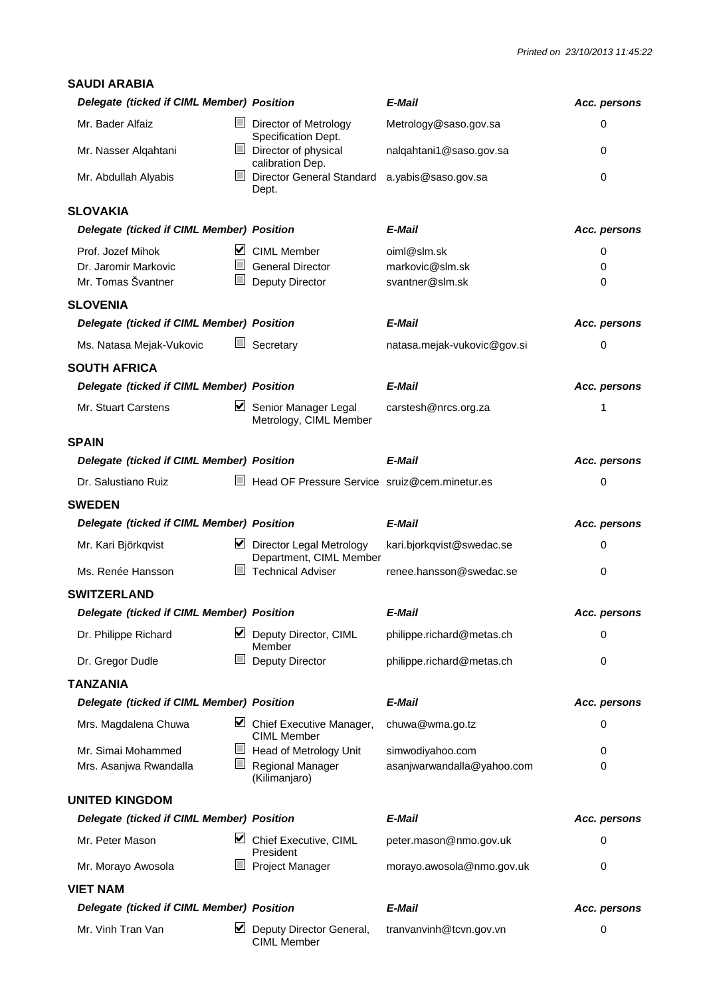| <b>SAUDI ARABIA</b>                       |                                                                          |                             |              |
|-------------------------------------------|--------------------------------------------------------------------------|-----------------------------|--------------|
| Delegate (ticked if CIML Member) Position |                                                                          | E-Mail                      | Acc. persons |
| Mr. Bader Alfaiz                          | $\overline{\phantom{0}}$<br>Director of Metrology<br>Specification Dept. | Metrology@saso.gov.sa       | 0            |
| Mr. Nasser Alqahtani                      | $\mathbb{L}$<br>Director of physical<br>calibration Dep.                 | nalqahtani1@saso.gov.sa     | 0            |
| Mr. Abdullah Alyabis                      | l.<br><b>Director General Standard</b><br>Dept.                          | a.yabis@saso.gov.sa         | $\Omega$     |
| <b>SLOVAKIA</b>                           |                                                                          |                             |              |
| Delegate (ticked if CIML Member) Position |                                                                          | E-Mail                      | Acc. persons |
| Prof. Jozef Mihok                         | ■ CIML Member                                                            | oiml@slm.sk                 | 0            |
| Dr. Jaromir Markovic                      | $\mathcal{L}^{\mathcal{A}}$<br><b>General Director</b>                   | markovic@slm.sk             | 0            |
| Mr. Tomas Švantner                        | Deputy Director                                                          | svantner@slm.sk             | 0            |
| <b>SLOVENIA</b>                           |                                                                          |                             |              |
| Delegate (ticked if CIML Member) Position |                                                                          | E-Mail                      | Acc. persons |
| Ms. Natasa Mejak-Vukovic                  | Secretary                                                                | natasa.mejak-vukovic@gov.si | $\mathbf 0$  |
| <b>SOUTH AFRICA</b>                       |                                                                          |                             |              |
| Delegate (ticked if CIML Member) Position |                                                                          | E-Mail                      | Acc. persons |
| Mr. Stuart Carstens                       | Senior Manager Legal<br>Metrology, CIML Member                           | carstesh@nrcs.org.za        | 1            |
| <b>SPAIN</b>                              |                                                                          |                             |              |
| Delegate (ticked if CIML Member) Position |                                                                          | E-Mail                      | Acc. persons |
| Dr. Salustiano Ruiz                       | Head OF Pressure Service sruiz@cem.minetur.es                            |                             | 0            |
| <b>SWEDEN</b>                             |                                                                          |                             |              |
|                                           |                                                                          |                             |              |
| Delegate (ticked if CIML Member) Position |                                                                          | E-Mail                      | Acc. persons |
| Mr. Kari Björkqvist                       | $\triangleright$ Director Legal Metrology                                | kari.bjorkqvist@swedac.se   | 0            |
| Ms. Renée Hansson                         | Department, CIML Member<br><b>I</b><br><b>Technical Adviser</b>          | renee.hansson@swedac.se     | $\mathbf 0$  |
| <b>SWITZERLAND</b>                        |                                                                          |                             |              |
| Delegate (ticked if CIML Member) Position |                                                                          | E-Mail                      | Acc. persons |
| Dr. Philippe Richard                      | ⊻<br>Deputy Director, CIML<br>Member                                     | philippe.richard@metas.ch   | 0            |
| Dr. Gregor Dudle                          | Deputy Director                                                          | philippe.richard@metas.ch   | 0            |
| <b>TANZANIA</b>                           |                                                                          |                             |              |
| Delegate (ticked if CIML Member) Position |                                                                          | E-Mail                      | Acc. persons |
| Mrs. Magdalena Chuwa                      | ⊻<br>Chief Executive Manager,<br><b>CIML Member</b>                      | chuwa@wma.go.tz             | 0            |
| Mr. Simai Mohammed                        | Head of Metrology Unit<br>$\Box$                                         | simwodiyahoo.com            | 0            |
| Mrs. Asanjwa Rwandalla                    | L<br>Regional Manager<br>(Kilimanjaro)                                   | asanjwarwandalla@yahoo.com  | 0            |
| <b>UNITED KINGDOM</b>                     |                                                                          |                             |              |
| Delegate (ticked if CIML Member) Position |                                                                          | E-Mail                      | Acc. persons |
| Mr. Peter Mason                           | Chief Executive, CIML<br>⊻<br>President                                  | peter.mason@nmo.gov.uk      | 0            |
| Mr. Morayo Awosola                        | Project Manager                                                          | morayo.awosola@nmo.gov.uk   | $\mathbf 0$  |
| <b>VIET NAM</b>                           |                                                                          |                             |              |
| Delegate (ticked if CIML Member) Position |                                                                          | E-Mail                      | Acc. persons |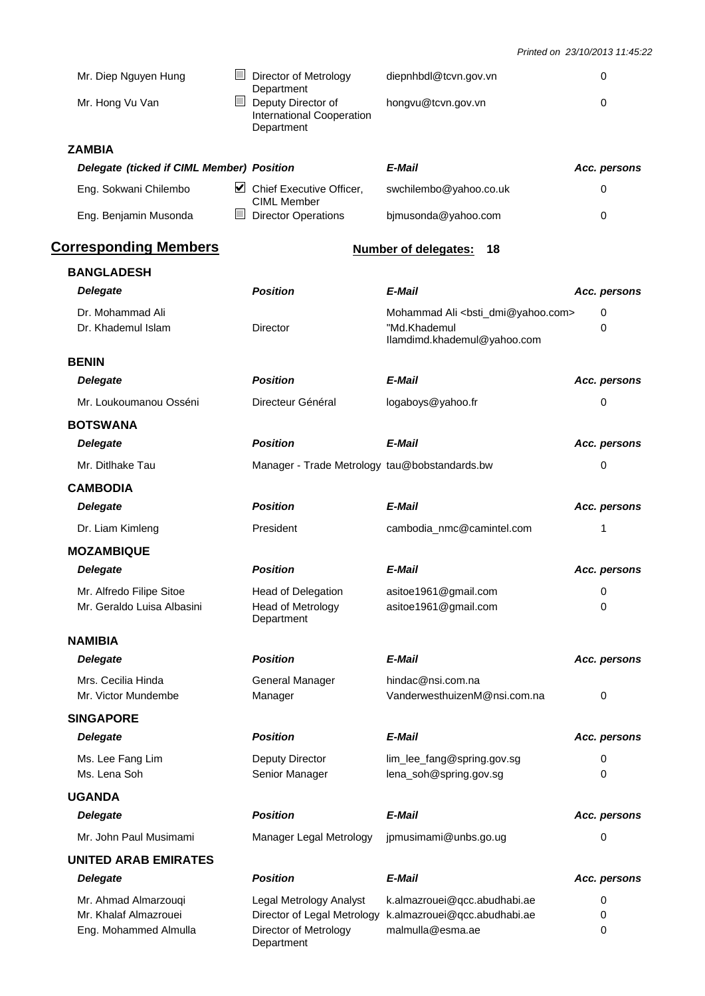*Printed on 23/10/2013 11:45:22*

| Mr. Diep Nguyen Hung                                                   | Director of Metrology<br>Department                                                           | diepnhbdl@tcvn.gov.vn                                                                                   | 0            |
|------------------------------------------------------------------------|-----------------------------------------------------------------------------------------------|---------------------------------------------------------------------------------------------------------|--------------|
| Mr. Hong Vu Van                                                        | Deputy Director of<br>International Cooperation<br>Department                                 | hongvu@tcvn.gov.vn                                                                                      | $\Omega$     |
| <b>ZAMBIA</b>                                                          |                                                                                               |                                                                                                         |              |
| Delegate (ticked if CIML Member) Position                              |                                                                                               | E-Mail                                                                                                  | Acc. persons |
| Eng. Sokwani Chilembo                                                  | $\triangleright$ Chief Executive Officer,<br><b>CIML Member</b>                               | swchilembo@yahoo.co.uk                                                                                  | 0            |
| Eng. Benjamin Musonda                                                  | $\Box$ Director Operations                                                                    | bjmusonda@yahoo.com                                                                                     | 0            |
| <b>Corresponding Members</b>                                           |                                                                                               | <b>Number of delegates:</b><br>18                                                                       |              |
| <b>BANGLADESH</b>                                                      |                                                                                               |                                                                                                         |              |
| <b>Delegate</b>                                                        | <b>Position</b>                                                                               | E-Mail                                                                                                  | Acc. persons |
| Dr. Mohammad Ali<br>Dr. Khademul Islam                                 | Director                                                                                      | Mohammad Ali <bsti_dmi@yahoo.com><br/>"Md.Khademul<br/>llamdimd.khademul@yahoo.com</bsti_dmi@yahoo.com> | 0<br>0       |
| <b>BENIN</b>                                                           |                                                                                               |                                                                                                         |              |
| <b>Delegate</b>                                                        | <b>Position</b>                                                                               | E-Mail                                                                                                  | Acc. persons |
| Mr. Loukoumanou Osséni                                                 | Directeur Général                                                                             | logaboys@yahoo.fr                                                                                       | 0            |
| <b>BOTSWANA</b>                                                        |                                                                                               |                                                                                                         |              |
| <b>Delegate</b>                                                        | <b>Position</b>                                                                               | E-Mail                                                                                                  | Acc. persons |
| Mr. Ditlhake Tau                                                       | Manager - Trade Metrology tau@bobstandards.bw                                                 |                                                                                                         | 0            |
| <b>CAMBODIA</b>                                                        |                                                                                               |                                                                                                         |              |
| <b>Delegate</b>                                                        | <b>Position</b>                                                                               | E-Mail                                                                                                  | Acc. persons |
| Dr. Liam Kimleng                                                       | President                                                                                     | cambodia_nmc@camintel.com                                                                               | 1            |
| <b>MOZAMBIQUE</b>                                                      |                                                                                               |                                                                                                         |              |
| <b>Delegate</b>                                                        | <b>Position</b>                                                                               | E-Mail                                                                                                  | Acc. persons |
| Mr. Alfredo Filipe Sitoe<br>Mr. Geraldo Luisa Albasini                 | <b>Head of Delegation</b><br><b>Head of Metrology</b><br>Department                           | asitoe1961@gmail.com<br>asitoe1961@gmail.com                                                            | 0<br>0       |
| <b>NAMIBIA</b>                                                         |                                                                                               |                                                                                                         |              |
| <b>Delegate</b>                                                        | <b>Position</b>                                                                               | E-Mail                                                                                                  | Acc. persons |
| Mrs. Cecilia Hinda<br>Mr. Victor Mundembe                              | <b>General Manager</b><br>Manager                                                             | hindac@nsi.com.na<br>VanderwesthuizenM@nsi.com.na                                                       | 0            |
| <b>SINGAPORE</b>                                                       |                                                                                               |                                                                                                         |              |
| <b>Delegate</b>                                                        | <b>Position</b>                                                                               | E-Mail                                                                                                  | Acc. persons |
| Ms. Lee Fang Lim<br>Ms. Lena Soh                                       | Deputy Director<br>Senior Manager                                                             | lim_lee_fang@spring.gov.sg<br>lena_soh@spring.gov.sg                                                    | 0<br>0       |
| <b>UGANDA</b>                                                          |                                                                                               |                                                                                                         |              |
| <b>Delegate</b>                                                        | <b>Position</b>                                                                               | E-Mail                                                                                                  | Acc. persons |
| Mr. John Paul Musimami                                                 | Manager Legal Metrology                                                                       | jpmusimami@unbs.go.ug                                                                                   | 0            |
| <b>UNITED ARAB EMIRATES</b>                                            |                                                                                               |                                                                                                         |              |
| <b>Delegate</b>                                                        | <b>Position</b>                                                                               | E-Mail                                                                                                  | Acc. persons |
| Mr. Ahmad Almarzouqi<br>Mr. Khalaf Almazrouei<br>Eng. Mohammed Almulla | Legal Metrology Analyst<br>Director of Legal Metrology<br>Director of Metrology<br>Department | k.almazrouei@qcc.abudhabi.ae<br>k.almazrouei@qcc.abudhabi.ae<br>malmulla@esma.ae                        | 0<br>0<br>0  |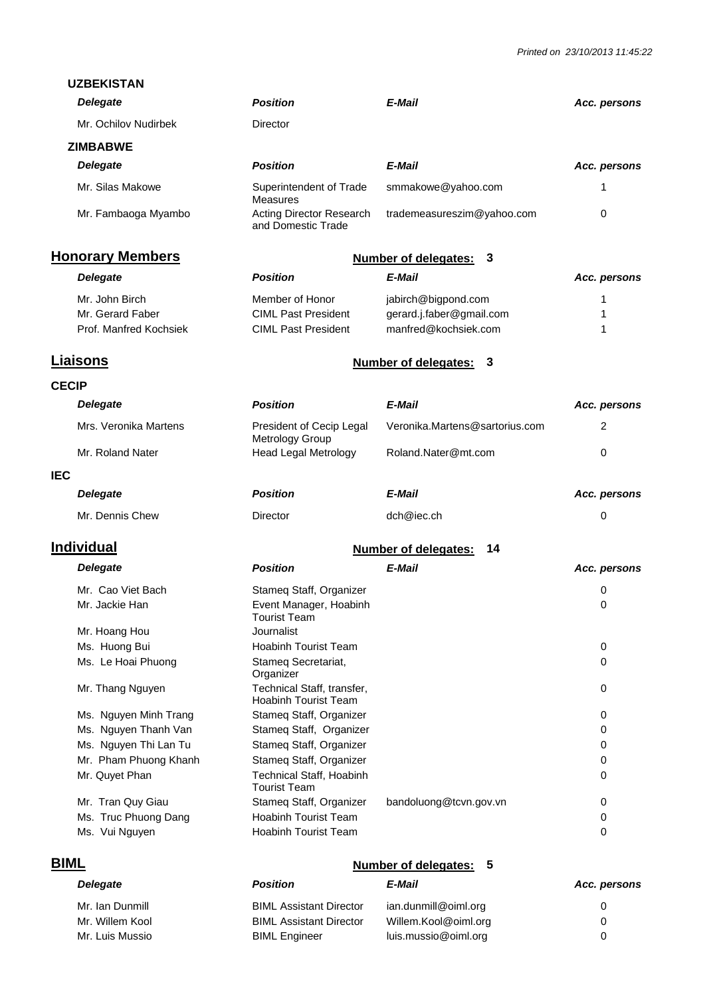| <b>UZBEKISTAN</b>                       |                                                                            |                                   |              |
|-----------------------------------------|----------------------------------------------------------------------------|-----------------------------------|--------------|
| <b>Delegate</b>                         | <b>Position</b>                                                            | E-Mail                            | Acc. persons |
| Mr. Ochilov Nudirbek                    | Director                                                                   |                                   |              |
| <b>ZIMBABWE</b>                         |                                                                            |                                   |              |
| <b>Delegate</b>                         | <b>Position</b>                                                            | E-Mail                            | Acc. persons |
| Mr. Silas Makowe                        | Superintendent of Trade<br>Measures                                        | smmakowe@yahoo.com                | 1            |
| Mr. Fambaoga Myambo                     | <b>Acting Director Research</b><br>and Domestic Trade                      | trademeasureszim@yahoo.com        | 0            |
| <b>Honorary Members</b>                 |                                                                            | <b>Number of delegates:</b><br>3  |              |
| <b>Delegate</b>                         | <b>Position</b>                                                            | E-Mail                            | Acc. persons |
| Mr. John Birch                          | Member of Honor                                                            | jabirch@bigpond.com               | 1            |
| Mr. Gerard Faber                        | <b>CIML Past President</b>                                                 | gerard.j.faber@gmail.com          | 1            |
| Prof. Manfred Kochsiek                  | <b>CIML Past President</b>                                                 | manfred@kochsiek.com              | 1            |
| <b>Liaisons</b>                         |                                                                            | <b>Number of delegates:</b><br>3  |              |
| <b>CECIP</b>                            |                                                                            |                                   |              |
| <b>Delegate</b>                         | <b>Position</b>                                                            | E-Mail                            | Acc. persons |
| Mrs. Veronika Martens                   | President of Cecip Legal<br>Metrology Group                                | Veronika.Martens@sartorius.com    | 2            |
| Mr. Roland Nater                        | <b>Head Legal Metrology</b>                                                | Roland.Nater@mt.com               | 0            |
| <b>IEC</b>                              |                                                                            |                                   |              |
| <b>Delegate</b>                         | <b>Position</b>                                                            | E-Mail                            | Acc. persons |
| Mr. Dennis Chew                         | Director                                                                   | dch@iec.ch                        | 0            |
| <b>Individual</b>                       |                                                                            | <b>Number of delegates:</b><br>14 |              |
| <b>Delegate</b>                         | <b>Position</b>                                                            | E-Mail                            | Acc. persons |
| Mr. Cao Viet Bach                       | Stameg Staff, Organizer                                                    |                                   | 0            |
| Mr. Jackie Han                          | Event Manager, Hoabinh<br><b>Tourist Team</b>                              |                                   | 0            |
| Mr. Hoang Hou                           | Journalist                                                                 |                                   |              |
| Ms. Huong Bui                           | <b>Hoabinh Tourist Team</b>                                                |                                   | $\mathbf 0$  |
| Ms. Le Hoai Phuong                      | Stameg Secretariat,<br>Organizer                                           |                                   | 0            |
| Mr. Thang Nguyen                        | Technical Staff, transfer,<br><b>Hoabinh Tourist Team</b>                  |                                   | 0            |
| Ms. Nguyen Minh Trang                   | Stameq Staff, Organizer                                                    |                                   | 0            |
| Ms. Nguyen Thanh Van                    | Stameg Staff, Organizer                                                    |                                   | 0            |
| Ms. Nguyen Thi Lan Tu                   | Stameq Staff, Organizer                                                    |                                   | 0            |
| Mr. Pham Phuong Khanh<br>Mr. Quyet Phan | Stameq Staff, Organizer<br>Technical Staff, Hoabinh<br><b>Tourist Team</b> |                                   | 0<br>0       |
| Mr. Tran Quy Giau                       | Stameq Staff, Organizer                                                    | bandoluong@tcvn.gov.vn            | 0            |
| Ms. Truc Phuong Dang                    | <b>Hoabinh Tourist Team</b>                                                |                                   | 0            |
| Ms. Vui Nguyen                          | <b>Hoabinh Tourist Team</b>                                                |                                   | 0            |
| <b>BIML</b>                             |                                                                            | <b>Number of delegates:</b><br>5  |              |
| <b>Delegate</b>                         | <b>Position</b>                                                            | E-Mail                            | Acc. persons |
| Mr. Ian Dunmill                         | <b>BIML Assistant Director</b>                                             | ian.dunmill@oiml.org              | 0            |

Mr. Willem Kool **BIML Assistant Director** Willem.Kool@oiml.org 0 Mr. Luis Mussio **Communist Communist Communist Communist Communist Communist Communist Communist Communist Communist Communist Communist Communist Communist Communist Communist Communist Communist Communist Communist Commu**